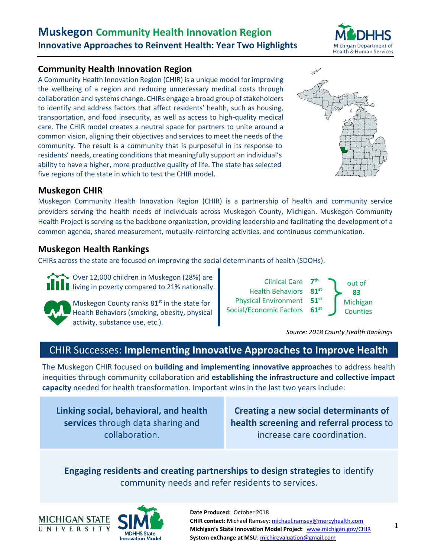

# **Community Health Innovation Region**

A Community Health Innovation Region (CHIR) is a unique model for improving the wellbeing of a region and reducing unnecessary medical costs through collaboration and systems change. CHIRs engage a broad group of stakeholders to identify and address factors that affect residents' health, such as housing, transportation, and food insecurity, as well as access to high-quality medical care. The CHIR model creates a neutral space for partners to unite around a common vision, aligning their objectives and services to meet the needs of the community. The result is a community that is purposeful in its response to residents' needs, creating conditions that meaningfully support an individual's ability to have a higher, more productive quality of life. The state has selected five regions of the state in which to test the CHIR model.



# **Muskegon CHIR**

Muskegon Community Health Innovation Region (CHIR) is a partnership of health and community service providers serving the health needs of individuals across Muskegon County, Michigan. Muskegon Community Health Project is serving as the backbone organization, providing leadership and facilitating the development of a common agenda, shared measurement, mutually-reinforcing activities, and continuous communication.

# **Muskegon Health Rankings**

CHIRs across the state are focused on improving the social determinants of health (SDOHs).

Over 12,000 children in Muskegon (28%) are living in poverty compared to 21% nationally.



Muskegon County ranks  $81<sup>st</sup>$  in the state for Health Behaviors (smoking, obesity, physical activity, substance use, etc.).



*Source: 2018 County Health Rankings*

# CHIR Successes: **Implementing Innovative Approaches to Improve Health**

The Muskegon CHIR focused on **building and implementing innovative approaches** to address health inequities through community collaboration and **establishing the infrastructure and collective impact capacity** needed for health transformation. Important wins in the last two years include:

**Linking social, behavioral, and health services** through data sharing and collaboration.

**Creating a new social determinants of health screening and referral process** to increase care coordination.

# **Engaging residents and creating partnerships to design strategies** to identify community needs and refer residents to services.

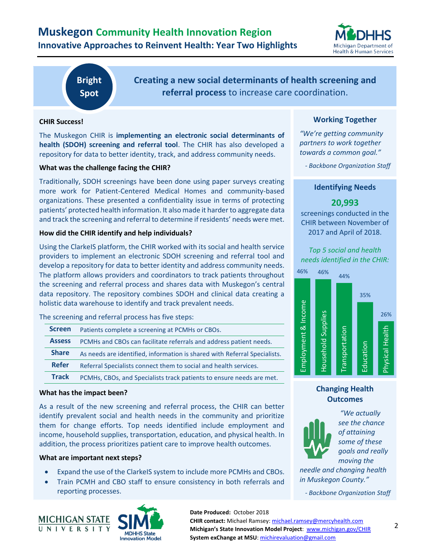

**Bright Spot**

**Creating a new social determinants of health screening and referral process** to increase care coordination.

## **CHIR Success!**

The Muskegon CHIR is **implementing an electronic social determinants of health (SDOH) screening and referral tool**. The CHIR has also developed a repository for data to better identity, track, and address community needs.

#### **What was the challenge facing the CHIR?**

Traditionally, SDOH screenings have been done using paper surveys creating more work for Patient-Centered Medical Homes and community-based organizations. These presented a confidentiality issue in terms of protecting patients' protected health information. It also made it harder to aggregate data and track the screening and referral to determine if residents' needs were met.

#### **How did the CHIR identify and help individuals?**

Using the ClarkeIS platform, the CHIR worked with its social and health service providers to implement an electronic SDOH screening and referral tool and develop a repository for data to better identity and address community needs. The platform allows providers and coordinators to track patients throughout the screening and referral process and shares data with Muskegon's central data repository. The repository combines SDOH and clinical data creating a holistic data warehouse to identify and track prevalent needs.

The screening and referral process has five steps:

| <b>Screen</b> | Patients complete a screening at PCMHs or CBOs.                           |
|---------------|---------------------------------------------------------------------------|
| <b>Assess</b> | PCMHs and CBOs can facilitate referrals and address patient needs.        |
| <b>Share</b>  | As needs are identified, information is shared with Referral Specialists. |
| <b>Refer</b>  | Referral Specialists connect them to social and health services.          |
| <b>Track</b>  | PCMHs, CBOs, and Specialists track patients to ensure needs are met.      |

#### **What has the impact been?**

As a result of the new screening and referral process, the CHIR can better identify prevalent social and health needs in the community and prioritize them for change efforts. Top needs identified include employment and income, household supplies, transportation, education, and physical health. In addition, the process prioritizes patient care to improve health outcomes.

#### **What are important next steps?**

- Expand the use of the ClarkeIS system to include more PCMHs and CBOs.
- Train PCMH and CBO staff to ensure consistency in both referrals and reporting processes.



## **Date Produced:** October 2018

#### **CHIR contact:** Michael Ramsey: [michael.ramsey@mercyhealth.com](file:///C:/Users/corbinjs/MSU%20System%20exChange%20Dropbox/SIMS%20Project/BrightSpots%202017%20and%20%202018/MUCHIR/michael.ramsey@mercyhealth.com) **Michigan's State Innovation Model Project**: [www.michigan.gov/CHIR](http://www.michigan.gov/CHIR) **System exChange at MSU**[: michirevaluation@gmail.com](mailto:michirevaluation@gmail.com)

### **Working Together**

*"We're getting community partners to work together towards a common goal."*

*- Backbone Organization Staff*

#### **Identifying Needs**

## **20,993**

screenings conducted in the CHIR between November of 2017 and April of 2018.

## *Top 5 social and health needs identified in the CHIR:*



## **Changing Health Outcomes**



*"We actually see the chance of attaining some of these goals and really moving the* 

*needle and changing health in Muskegon County."*

*- Backbone Organization Staff*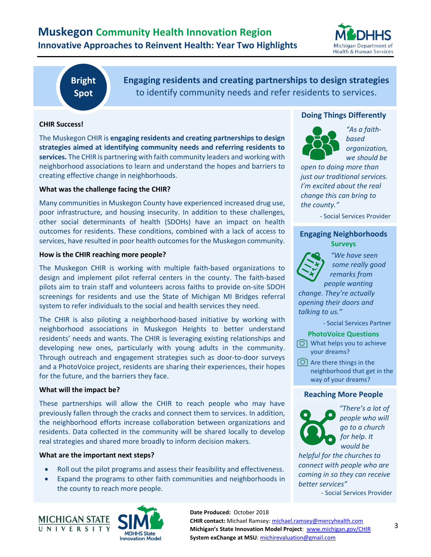

**Bright Spot**

**Engaging residents and creating partnerships to design strategies**  to identify community needs and refer residents to services.

## **CHIR Success!**

The Muskegon CHIR is **engaging residents and creating partnerships to design strategies aimed at identifying community needs and referring residents to services.** The CHIR is partnering with faith community leaders and working with neighborhood associations to learn and understand the hopes and barriers to creating effective change in neighborhoods.

## **What was the challenge facing the CHIR?**

Many communities in Muskegon County have experienced increased drug use, poor infrastructure, and housing insecurity. In addition to these challenges, other social determinants of health (SDOHs) have an impact on health outcomes for residents. These conditions, combined with a lack of access to services, have resulted in poor health outcomes for the Muskegon community.

### **How is the CHIR reaching more people?**

The Muskegon CHIR is working with multiple faith-based organizations to design and implement pilot referral centers in the county. The faith-based pilots aim to train staff and volunteers across faiths to provide on-site SDOH screenings for residents and use the State of Michigan MI Bridges referral system to refer individuals to the social and health services they need.

The CHIR is also piloting a neighborhood-based initiative by working with neighborhood associations in Muskegon Heights to better understand residents' needs and wants. The CHIR is leveraging existing relationships and developing new ones, particularly with young adults in the community. Through outreach and engagement strategies such as door-to-door surveys and a PhotoVoice project, residents are sharing their experiences, their hopes for the future, and the barriers they face.

#### **What will the impact be?**

These partnerships will allow the CHIR to reach people who may have previously fallen through the cracks and connect them to services. In addition, the neighborhood efforts increase collaboration between organizations and residents. Data collected in the community will be shared locally to develop real strategies and shared more broadly to inform decision makers.

#### **What are the important next steps?**

- Roll out the pilot programs and assess their feasibility and effectiveness.
- Expand the programs to other faith communities and neighborhoods in the county to reach more people.



## **Doing Things Differently**



*"As a faithbased organization, we should be* 

*open to doing more than just our traditional services. I'm excited about the real change this can bring to the county."*

- Social Services Provider

## **Engaging Neighborhoods Surveys**



*"We have seen some really good remarks from people wanting* 

*change. They're actually opening their doors and talking to us."*

- Social Services Partner

#### **PhotoVoice Questions**

 $\circledcirc$  What helps you to achieve your dreams?

 $\boxed{\circ}$  Are there things in the neighborhood that get in the way of your dreams?

#### **Reaching More People**



*"There's a lot of people who will go to a church for help. It would be* 

*helpful for the churches to connect with people who are coming in so they can receive better services"*

- Social Services Provider

**CHIR contact:** Michael Ramsey: [michael.ramsey@mercyhealth.com](file:///C:/Users/corbinjs/MSU%20System%20exChange%20Dropbox/SIMS%20Project/BrightSpots%202017%20and%20%202018/MUCHIR/michael.ramsey@mercyhealth.com) **Michigan's State Innovation Model Project**: [www.michigan.gov/CHIR](http://www.michigan.gov/CHIR) **System exChange at MSU**[: michirevaluation@gmail.com](mailto:michirevaluation@gmail.com)

**Date Produced:** October 2018